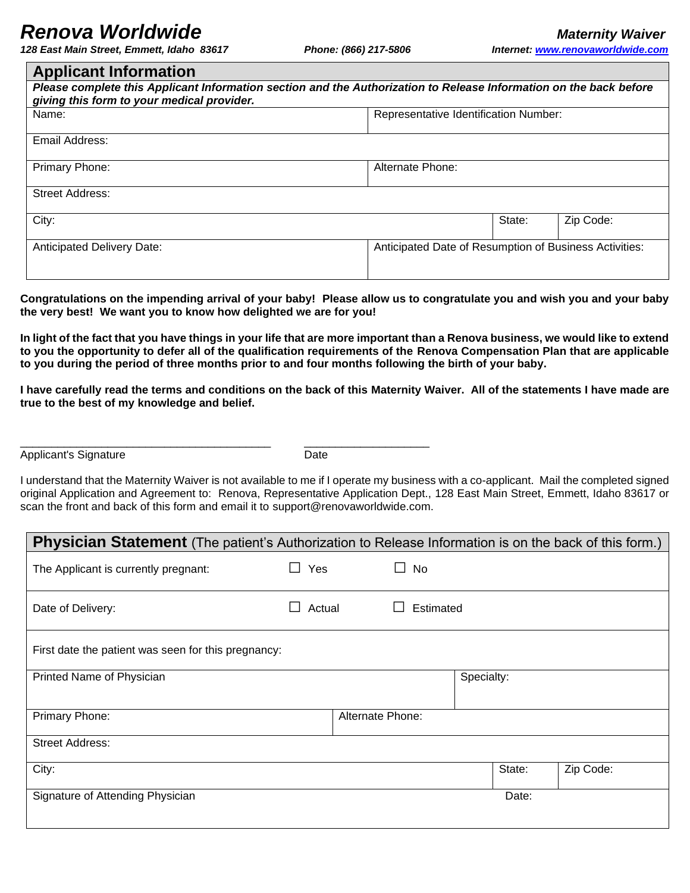## *Renova Worldwide Maternity Waiver Maternity Waiver*

*128 East Main Street, Emmett, Idaho 83617 Phone: (866) 217-5806 Internet: [www.renovaworldwide.com](http://www.xxxx.com/)*

| <b>Applicant Information</b>                                                                                                                                     |                                                        |  |           |  |  |  |  |  |
|------------------------------------------------------------------------------------------------------------------------------------------------------------------|--------------------------------------------------------|--|-----------|--|--|--|--|--|
| Please complete this Applicant Information section and the Authorization to Release Information on the back before<br>giving this form to your medical provider. |                                                        |  |           |  |  |  |  |  |
| Name:                                                                                                                                                            | Representative Identification Number:                  |  |           |  |  |  |  |  |
| Email Address:                                                                                                                                                   |                                                        |  |           |  |  |  |  |  |
| Primary Phone:                                                                                                                                                   | Alternate Phone:                                       |  |           |  |  |  |  |  |
| <b>Street Address:</b>                                                                                                                                           |                                                        |  |           |  |  |  |  |  |
| City:                                                                                                                                                            | State:                                                 |  | Zip Code: |  |  |  |  |  |
| <b>Anticipated Delivery Date:</b>                                                                                                                                | Anticipated Date of Resumption of Business Activities: |  |           |  |  |  |  |  |

**Congratulations on the impending arrival of your baby! Please allow us to congratulate you and wish you and your baby the very best! We want you to know how delighted we are for you!**

**In light of the fact that you have things in your life that are more important than a Renova business, we would like to extend to you the opportunity to defer all of the qualification requirements of the Renova Compensation Plan that are applicable to you during the period of three months prior to and four months following the birth of your baby.**

**I have carefully read the terms and conditions on the back of this Maternity Waiver. All of the statements I have made are true to the best of my knowledge and belief.**

Applicant's Signature **Date** Date

\_\_\_\_\_\_\_\_\_\_\_\_\_\_\_\_\_\_\_\_\_\_\_\_\_\_\_\_\_\_\_\_\_\_\_\_\_\_\_\_ \_\_\_\_\_\_\_\_\_\_\_\_\_\_\_\_\_\_\_\_

I understand that the Maternity Waiver is not available to me if I operate my business with a co-applicant. Mail the completed signed original Application and Agreement to: Renova, Representative Application Dept., 128 East Main Street, Emmett, Idaho 83617 or scan the front and back of this form and email it to support@renovaworldwide.com.

| <b>Physician Statement</b> (The patient's Authorization to Release Information is on the back of this form.) |                       |                  |              |            |        |           |  |  |
|--------------------------------------------------------------------------------------------------------------|-----------------------|------------------|--------------|------------|--------|-----------|--|--|
| The Applicant is currently pregnant:                                                                         | Yes<br>$\blacksquare$ |                  | No<br>$\Box$ |            |        |           |  |  |
| Date of Delivery:                                                                                            | Actual                |                  | Estimated    |            |        |           |  |  |
| First date the patient was seen for this pregnancy:                                                          |                       |                  |              |            |        |           |  |  |
| Printed Name of Physician                                                                                    |                       |                  |              | Specialty: |        |           |  |  |
| Primary Phone:                                                                                               |                       | Alternate Phone: |              |            |        |           |  |  |
| <b>Street Address:</b>                                                                                       |                       |                  |              |            |        |           |  |  |
| City:                                                                                                        |                       |                  |              |            | State: | Zip Code: |  |  |
| Signature of Attending Physician                                                                             |                       |                  |              |            | Date:  |           |  |  |
|                                                                                                              |                       |                  |              |            |        |           |  |  |